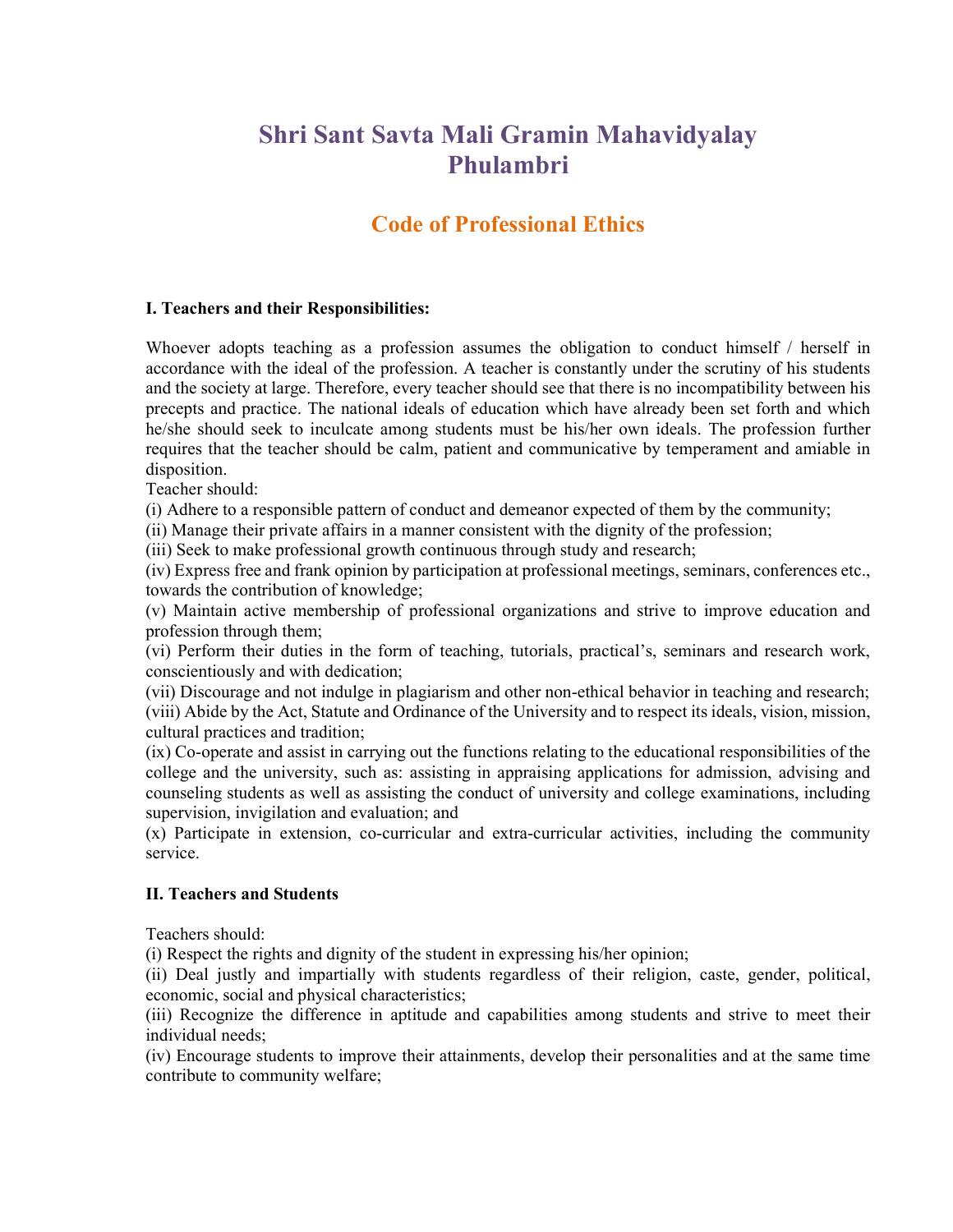# Shri Sant Savta Mali Gramin Mahavidyalay Phulambri

# Code of Professional Ethics

#### I. Teachers and their Responsibilities:

Whoever adopts teaching as a profession assumes the obligation to conduct himself / herself in accordance with the ideal of the profession. A teacher is constantly under the scrutiny of his students and the society at large. Therefore, every teacher should see that there is no incompatibility between his precepts and practice. The national ideals of education which have already been set forth and which he/she should seek to inculcate among students must be his/her own ideals. The profession further requires that the teacher should be calm, patient and communicative by temperament and amiable in disposition.

Teacher should:

(i) Adhere to a responsible pattern of conduct and demeanor expected of them by the community;

(ii) Manage their private affairs in a manner consistent with the dignity of the profession;

(iii) Seek to make professional growth continuous through study and research;

(iv) Express free and frank opinion by participation at professional meetings, seminars, conferences etc., towards the contribution of knowledge;

(v) Maintain active membership of professional organizations and strive to improve education and profession through them;

(vi) Perform their duties in the form of teaching, tutorials, practical's, seminars and research work, conscientiously and with dedication;

(vii) Discourage and not indulge in plagiarism and other non-ethical behavior in teaching and research; (viii) Abide by the Act, Statute and Ordinance of the University and to respect its ideals, vision, mission, cultural practices and tradition;

(ix) Co-operate and assist in carrying out the functions relating to the educational responsibilities of the college and the university, such as: assisting in appraising applications for admission, advising and counseling students as well as assisting the conduct of university and college examinations, including supervision, invigilation and evaluation; and

(x) Participate in extension, co-curricular and extra-curricular activities, including the community service.

#### II. Teachers and Students

Teachers should:

(i) Respect the rights and dignity of the student in expressing his/her opinion;

(ii) Deal justly and impartially with students regardless of their religion, caste, gender, political, economic, social and physical characteristics;

(iii) Recognize the difference in aptitude and capabilities among students and strive to meet their individual needs;

(iv) Encourage students to improve their attainments, develop their personalities and at the same time contribute to community welfare;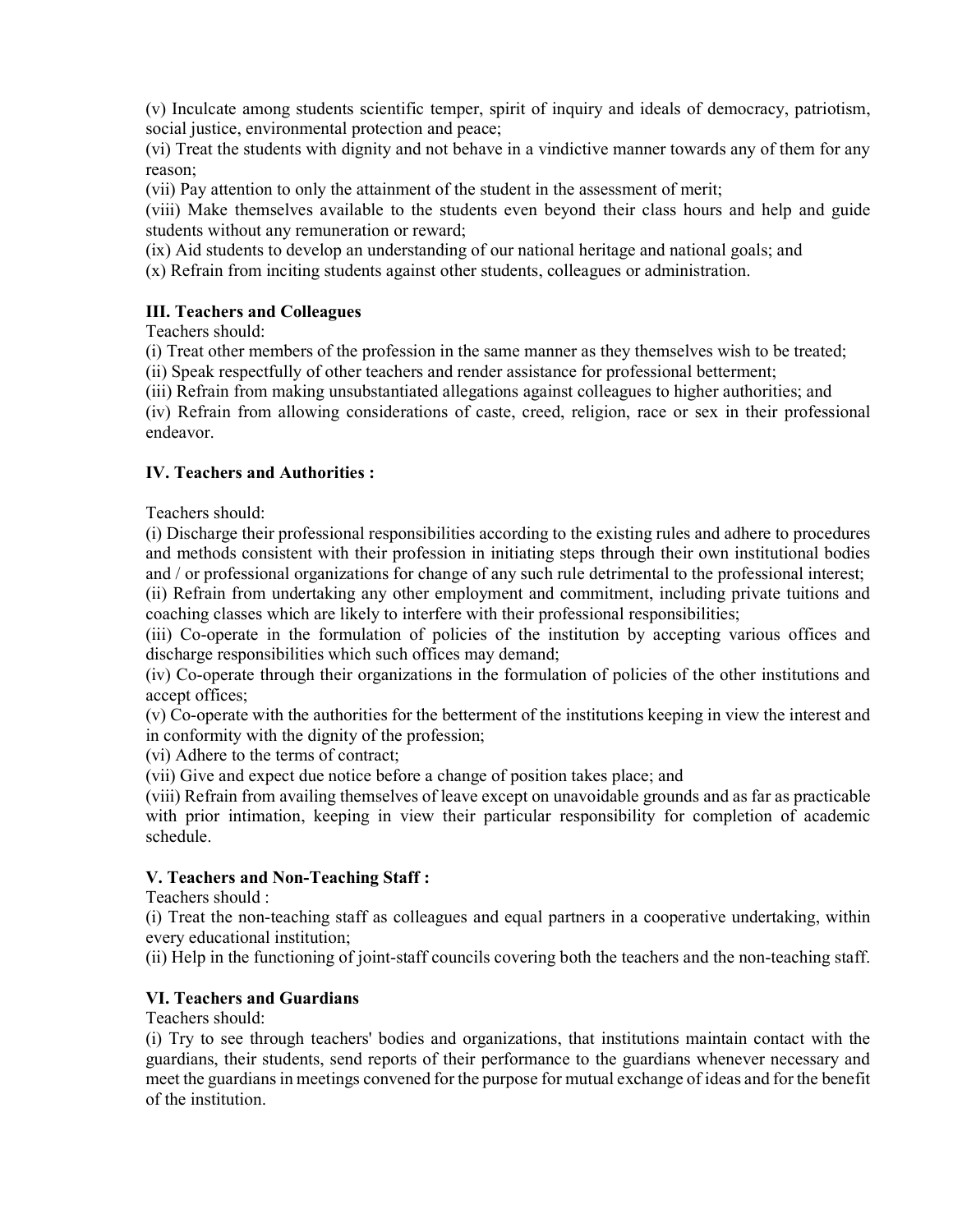(v) Inculcate among students scientific temper, spirit of inquiry and ideals of democracy, patriotism, social justice, environmental protection and peace;

(vi) Treat the students with dignity and not behave in a vindictive manner towards any of them for any reason;

(vii) Pay attention to only the attainment of the student in the assessment of merit;

(viii) Make themselves available to the students even beyond their class hours and help and guide students without any remuneration or reward;

(ix) Aid students to develop an understanding of our national heritage and national goals; and

(x) Refrain from inciting students against other students, colleagues or administration.

#### III. Teachers and Colleagues

Teachers should:

(i) Treat other members of the profession in the same manner as they themselves wish to be treated;

(ii) Speak respectfully of other teachers and render assistance for professional betterment;

(iii) Refrain from making unsubstantiated allegations against colleagues to higher authorities; and

(iv) Refrain from allowing considerations of caste, creed, religion, race or sex in their professional endeavor.

#### IV. Teachers and Authorities :

Teachers should:

(i) Discharge their professional responsibilities according to the existing rules and adhere to procedures and methods consistent with their profession in initiating steps through their own institutional bodies and / or professional organizations for change of any such rule detrimental to the professional interest;

(ii) Refrain from undertaking any other employment and commitment, including private tuitions and coaching classes which are likely to interfere with their professional responsibilities;

(iii) Co-operate in the formulation of policies of the institution by accepting various offices and discharge responsibilities which such offices may demand;

(iv) Co-operate through their organizations in the formulation of policies of the other institutions and accept offices;

(v) Co-operate with the authorities for the betterment of the institutions keeping in view the interest and in conformity with the dignity of the profession;

(vi) Adhere to the terms of contract;

(vii) Give and expect due notice before a change of position takes place; and

(viii) Refrain from availing themselves of leave except on unavoidable grounds and as far as practicable with prior intimation, keeping in view their particular responsibility for completion of academic schedule.

# V. Teachers and Non-Teaching Staff :

Teachers should :

(i) Treat the non-teaching staff as colleagues and equal partners in a cooperative undertaking, within every educational institution;

(ii) Help in the functioning of joint-staff councils covering both the teachers and the non-teaching staff.

# VI. Teachers and Guardians

Teachers should:

(i) Try to see through teachers' bodies and organizations, that institutions maintain contact with the guardians, their students, send reports of their performance to the guardians whenever necessary and meet the guardians in meetings convened for the purpose for mutual exchange of ideas and for the benefit of the institution.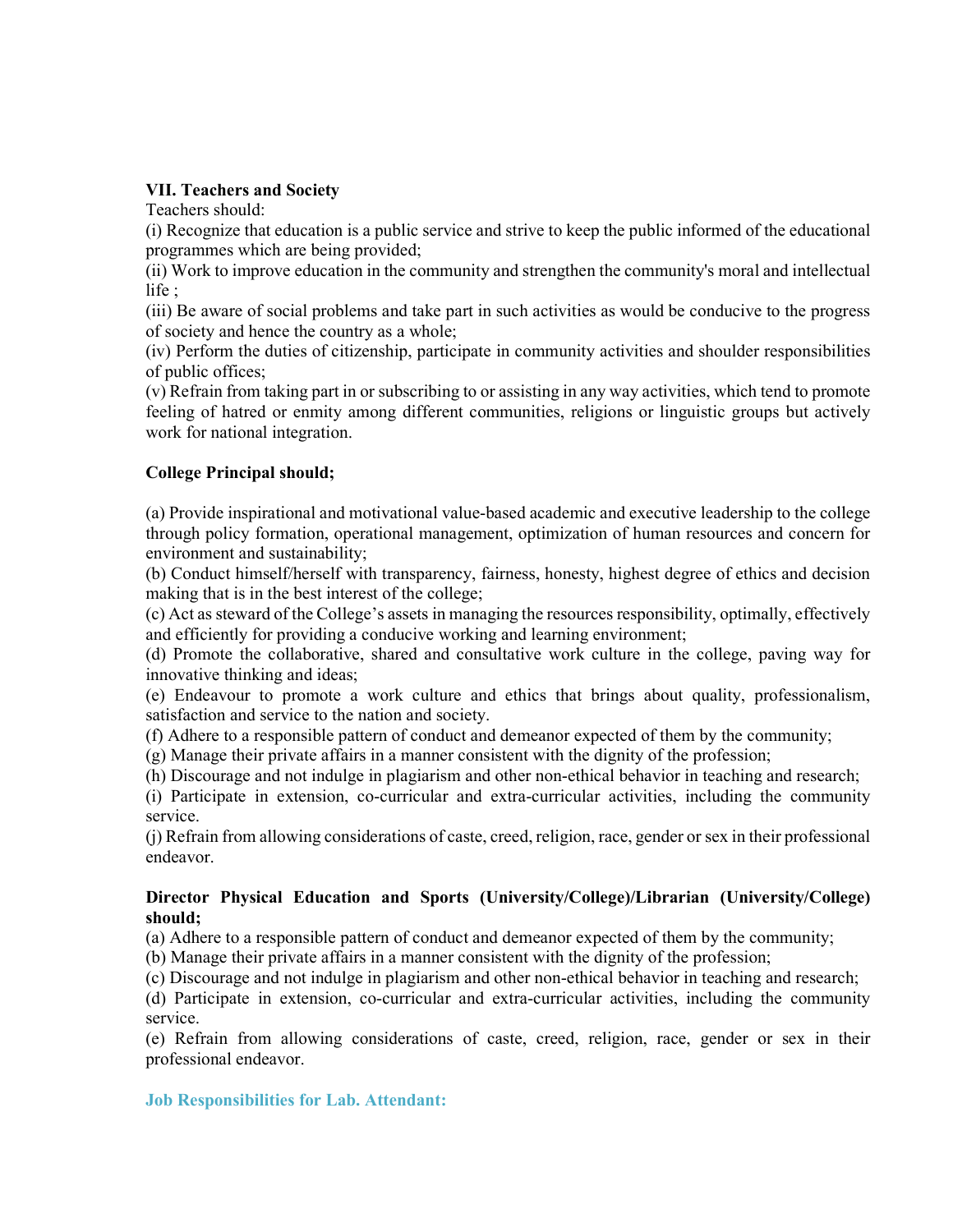#### VII. Teachers and Society

Teachers should:

(i) Recognize that education is a public service and strive to keep the public informed of the educational programmes which are being provided;

(ii) Work to improve education in the community and strengthen the community's moral and intellectual life ;

(iii) Be aware of social problems and take part in such activities as would be conducive to the progress of society and hence the country as a whole;

(iv) Perform the duties of citizenship, participate in community activities and shoulder responsibilities of public offices;

(v) Refrain from taking part in or subscribing to or assisting in any way activities, which tend to promote feeling of hatred or enmity among different communities, religions or linguistic groups but actively work for national integration.

# College Principal should;

(a) Provide inspirational and motivational value-based academic and executive leadership to the college through policy formation, operational management, optimization of human resources and concern for environment and sustainability;

(b) Conduct himself/herself with transparency, fairness, honesty, highest degree of ethics and decision making that is in the best interest of the college;

(c) Act as steward of the College's assets in managing the resources responsibility, optimally, effectively and efficiently for providing a conducive working and learning environment;

(d) Promote the collaborative, shared and consultative work culture in the college, paving way for innovative thinking and ideas;

(e) Endeavour to promote a work culture and ethics that brings about quality, professionalism, satisfaction and service to the nation and society.

(f) Adhere to a responsible pattern of conduct and demeanor expected of them by the community;

(g) Manage their private affairs in a manner consistent with the dignity of the profession;

(h) Discourage and not indulge in plagiarism and other non-ethical behavior in teaching and research;

(i) Participate in extension, co-curricular and extra-curricular activities, including the community service.

(j) Refrain from allowing considerations of caste, creed, religion, race, gender or sex in their professional endeavor.

#### Director Physical Education and Sports (University/College)/Librarian (University/College) should;

(a) Adhere to a responsible pattern of conduct and demeanor expected of them by the community;

(b) Manage their private affairs in a manner consistent with the dignity of the profession;

(c) Discourage and not indulge in plagiarism and other non-ethical behavior in teaching and research;

(d) Participate in extension, co-curricular and extra-curricular activities, including the community service.

(e) Refrain from allowing considerations of caste, creed, religion, race, gender or sex in their professional endeavor.

Job Responsibilities for Lab. Attendant: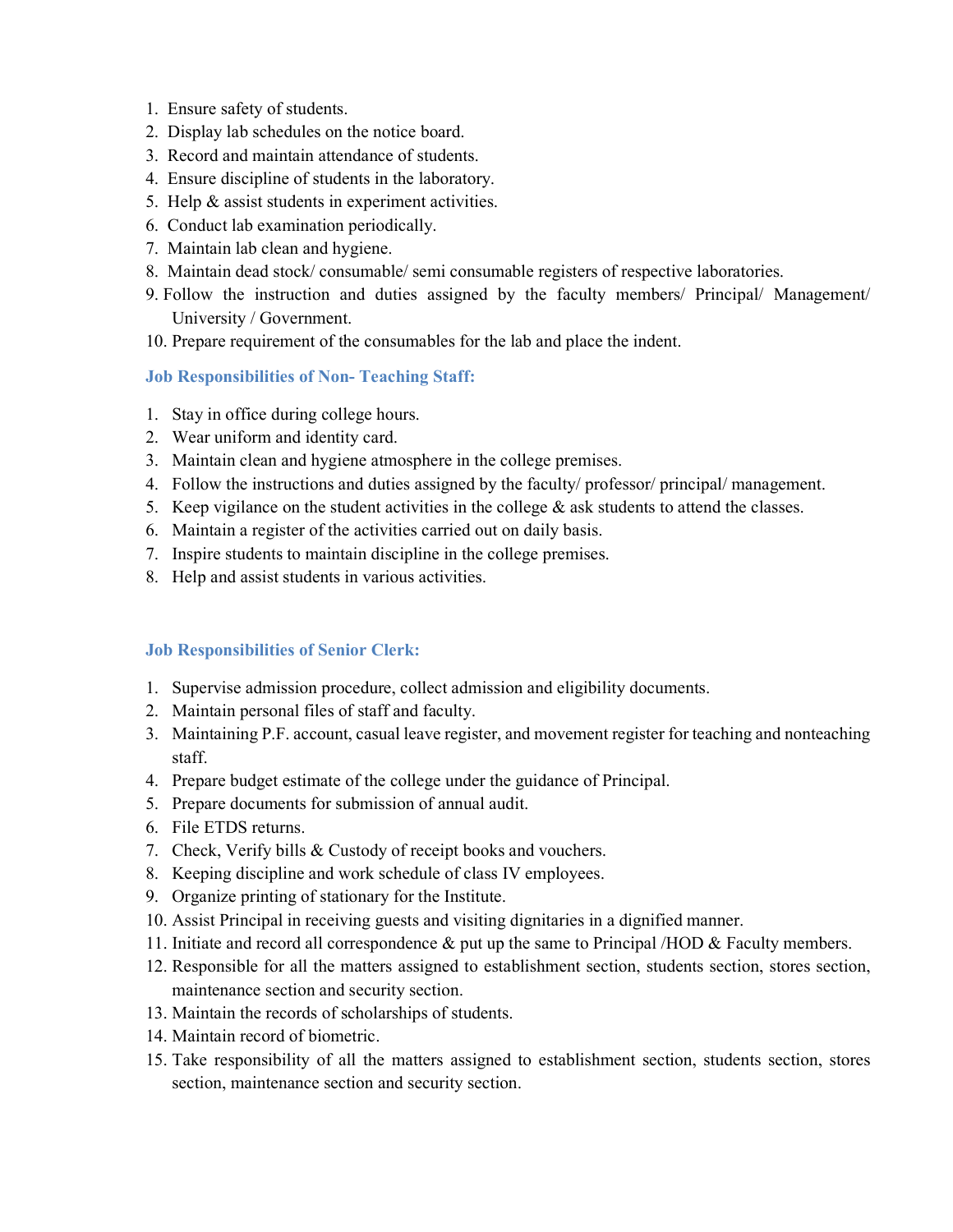- 1. Ensure safety of students.
- 2. Display lab schedules on the notice board.
- 3. Record and maintain attendance of students.
- 4. Ensure discipline of students in the laboratory.
- 5. Help & assist students in experiment activities.
- 6. Conduct lab examination periodically.
- 7. Maintain lab clean and hygiene.
- 8. Maintain dead stock/ consumable/ semi consumable registers of respective laboratories.
- 9. Follow the instruction and duties assigned by the faculty members/ Principal/ Management/ University / Government.
- 10. Prepare requirement of the consumables for the lab and place the indent.

# Job Responsibilities of Non- Teaching Staff:

- 1. Stay in office during college hours.
- 2. Wear uniform and identity card.
- 3. Maintain clean and hygiene atmosphere in the college premises.
- 4. Follow the instructions and duties assigned by the faculty/ professor/ principal/ management.
- 5. Keep vigilance on the student activities in the college  $\&$  ask students to attend the classes.
- 6. Maintain a register of the activities carried out on daily basis.
- 7. Inspire students to maintain discipline in the college premises.
- 8. Help and assist students in various activities.

# Job Responsibilities of Senior Clerk:

- 1. Supervise admission procedure, collect admission and eligibility documents.
- 2. Maintain personal files of staff and faculty.
- 3. Maintaining P.F. account, casual leave register, and movement register for teaching and nonteaching staff.
- 4. Prepare budget estimate of the college under the guidance of Principal.
- 5. Prepare documents for submission of annual audit.
- 6. File ETDS returns.
- 7. Check, Verify bills & Custody of receipt books and vouchers.
- 8. Keeping discipline and work schedule of class IV employees.
- 9. Organize printing of stationary for the Institute.
- 10. Assist Principal in receiving guests and visiting dignitaries in a dignified manner.
- 11. Initiate and record all correspondence & put up the same to Principal /HOD & Faculty members.
- 12. Responsible for all the matters assigned to establishment section, students section, stores section, maintenance section and security section.
- 13. Maintain the records of scholarships of students.
- 14. Maintain record of biometric.
- 15. Take responsibility of all the matters assigned to establishment section, students section, stores section, maintenance section and security section.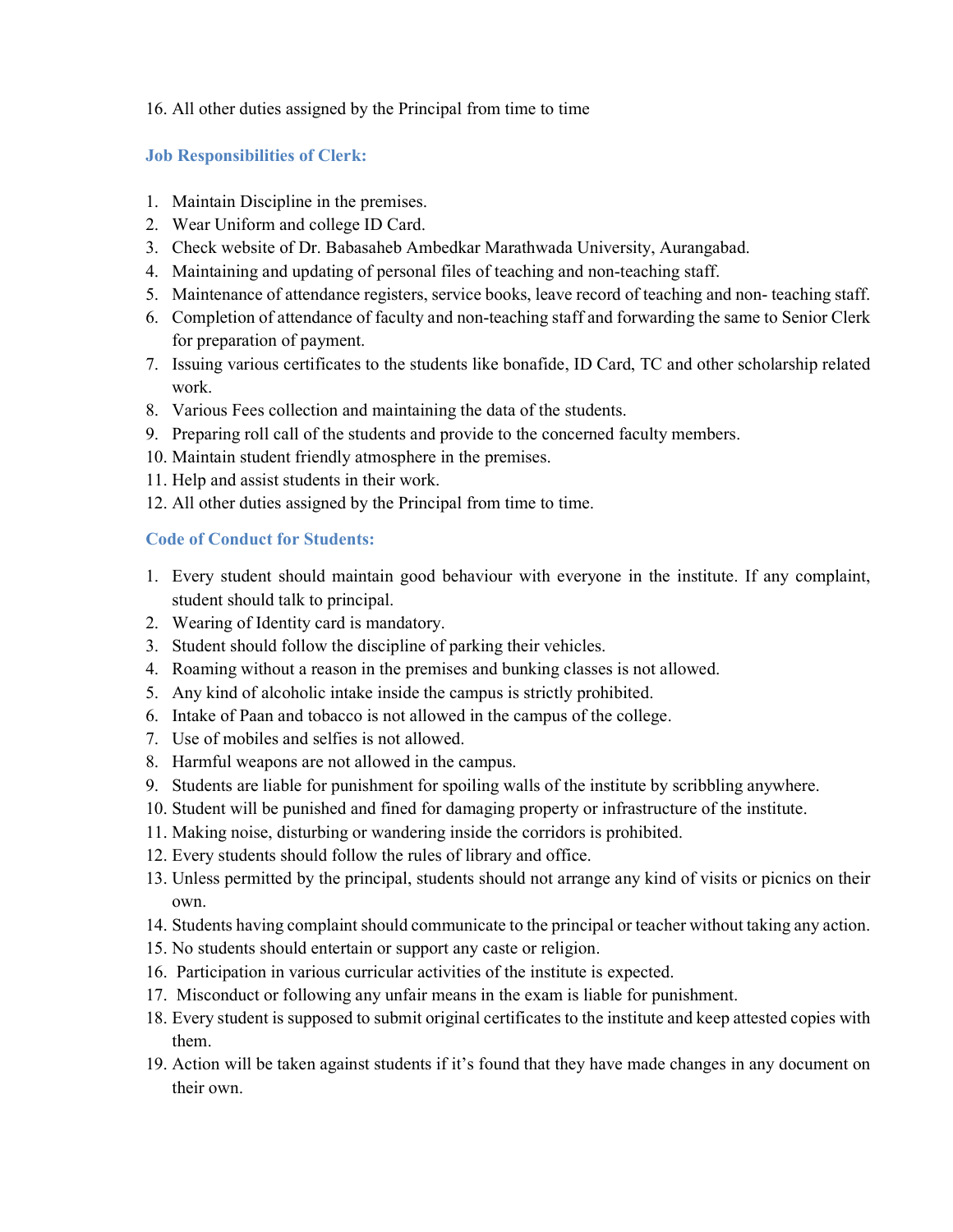# 16. All other duties assigned by the Principal from time to time

# Job Responsibilities of Clerk:

- 1. Maintain Discipline in the premises.
- 2. Wear Uniform and college ID Card.
- 3. Check website of Dr. Babasaheb Ambedkar Marathwada University, Aurangabad.
- 4. Maintaining and updating of personal files of teaching and non-teaching staff.
- 5. Maintenance of attendance registers, service books, leave record of teaching and non- teaching staff.
- 6. Completion of attendance of faculty and non-teaching staff and forwarding the same to Senior Clerk for preparation of payment.
- 7. Issuing various certificates to the students like bonafide, ID Card, TC and other scholarship related work.
- 8. Various Fees collection and maintaining the data of the students.
- 9. Preparing roll call of the students and provide to the concerned faculty members.
- 10. Maintain student friendly atmosphere in the premises.
- 11. Help and assist students in their work.
- 12. All other duties assigned by the Principal from time to time.

#### Code of Conduct for Students:

- 1. Every student should maintain good behaviour with everyone in the institute. If any complaint, student should talk to principal.
- 2. Wearing of Identity card is mandatory.
- 3. Student should follow the discipline of parking their vehicles.
- 4. Roaming without a reason in the premises and bunking classes is not allowed.
- 5. Any kind of alcoholic intake inside the campus is strictly prohibited.
- 6. Intake of Paan and tobacco is not allowed in the campus of the college.
- 7. Use of mobiles and selfies is not allowed.
- 8. Harmful weapons are not allowed in the campus.
- 9. Students are liable for punishment for spoiling walls of the institute by scribbling anywhere.
- 10. Student will be punished and fined for damaging property or infrastructure of the institute.
- 11. Making noise, disturbing or wandering inside the corridors is prohibited.
- 12. Every students should follow the rules of library and office.
- 13. Unless permitted by the principal, students should not arrange any kind of visits or picnics on their own.
- 14. Students having complaint should communicate to the principal or teacher without taking any action.
- 15. No students should entertain or support any caste or religion.
- 16. Participation in various curricular activities of the institute is expected.
- 17. Misconduct or following any unfair means in the exam is liable for punishment.
- 18. Every student is supposed to submit original certificates to the institute and keep attested copies with them.
- 19. Action will be taken against students if it's found that they have made changes in any document on their own.